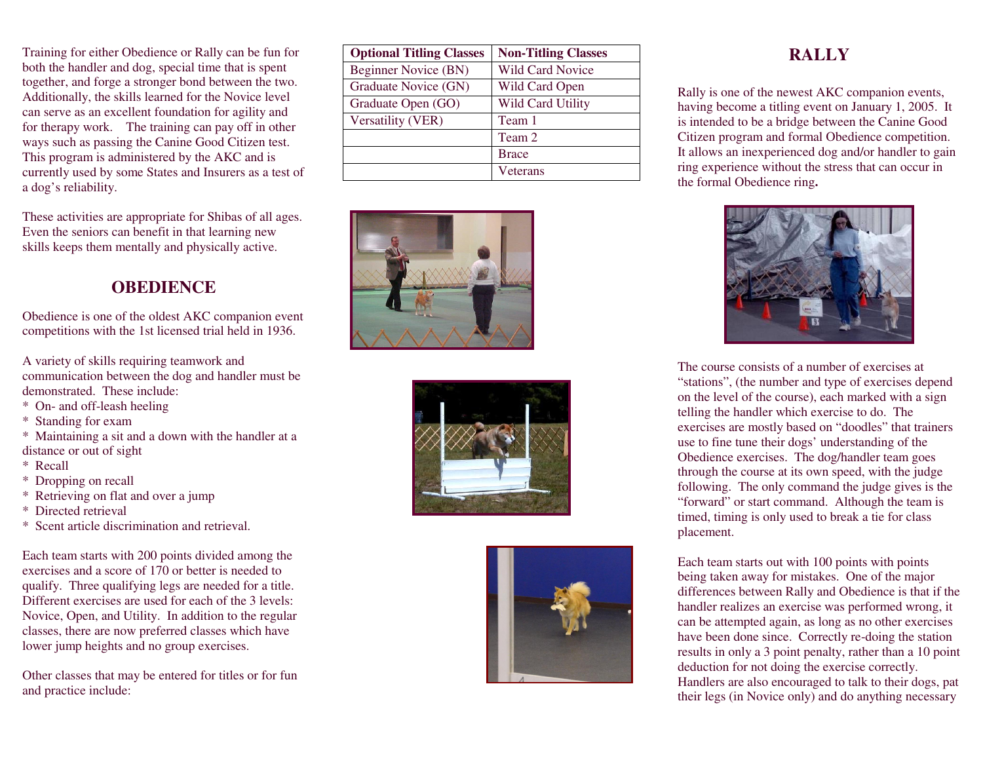Training for either Obedience or Rally can be fun for both the handler and dog, special time that is spent together, and forge a stronger bond between the two. Additionally, the skills learned for the Novice level can serve as an excellent foundation for agility and for therapy work. The training can pay off in other ways such as passing the Canine Good Citizen test. This program is administered by the AKC and is currently used by some States and Insurers as a test of a dog's reliability.

These activities are appropriate for Shibas of all ages. Even the seniors can benefit in that learning new skills keeps them mentally and physically active.

#### **OBEDIENCE**

Obedience is one of the oldest AKC companion event competitions with the 1st licensed trial held in 1936.

A variety of skills requiring teamwork and communication between the dog and handler must be demonstrated. These include:

- \* On- and off-leash heeling
- \* Standing for exam
- \* Maintaining a sit and a down with the handler at a distance or out of sight
- \* Recall
- \* Dropping on recall
- \* Retrieving on flat and over a jump
- \* Directed retrieval
- \* Scent article discrimination and retrieval.

Each team starts with 200 points divided among the exercises and a score of 170 or better is needed to qualify. Three qualifying legs are needed for a title. Different exercises are used for each of the 3 levels: Novice, Open, and Utility. In addition to the regular classes, there are now preferred classes which havelower jump heights and no group exercises.

Other classes that may be entered for titles or for fun and practice include:

| <b>Optional Titling Classes</b> | <b>Non-Titling Classes</b> |
|---------------------------------|----------------------------|
| Beginner Novice (BN)            | <b>Wild Card Novice</b>    |
| Graduate Novice (GN)            | Wild Card Open             |
| Graduate Open (GO)              | <b>Wild Card Utility</b>   |
| Versatility (VER)               | Team 1                     |
|                                 | Team 2                     |
|                                 | <b>Brace</b>               |
|                                 | Veterans                   |







#### **RALLY**

Rally is one of the newest AKC companion events, having become a titling event on January 1, 2005. It is intended to be a bridge between the Canine Good Citizen program and formal Obedience competition. It allows an inexperienced dog and/or handler to gain ring experience without the stress that can occur in the formal Obedience ring**.** 



The course consists of a number of exercises at "stations", (the number and type of exercises depend on the level of the course), each marked with a sign telling the handler which exercise to do. The exercises are mostly based on "doodles" that trainers use to fine tune their dogs' understanding of the Obedience exercises. The dog/handler team goes through the course at its own speed, with the judge following. The only command the judge gives is the"forward" or start command. Although the team is timed, timing is only used to break a tie for classplacement.

Each team starts out with 100 points with points being taken away for mistakes. One of the major differences between Rally and Obedience is that if the handler realizes an exercise was performed wrong, it can be attempted again, as long as no other exercises have been done since. Correctly re-doing the station results in only a 3 point penalty, rather than a 10 point deduction for not doing the exercise correctly. Handlers are also encouraged to talk to their dogs, pat their legs (in Novice only) and do anything necessary